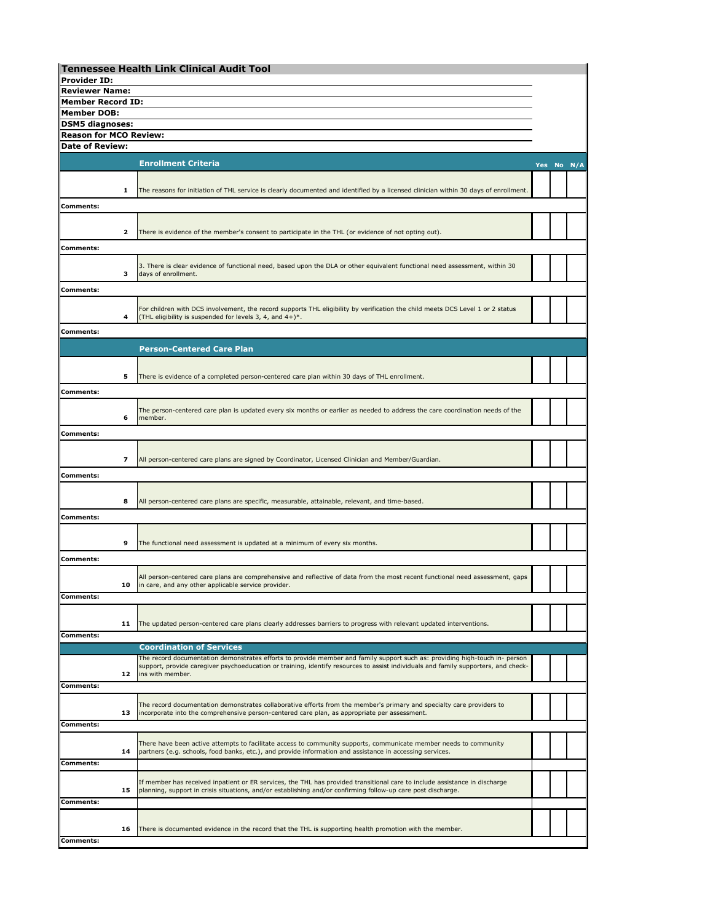|                                                   |    | <b>Tennessee Health Link Clinical Audit Tool</b>                                                                                                                                                                                           |  |  |            |
|---------------------------------------------------|----|--------------------------------------------------------------------------------------------------------------------------------------------------------------------------------------------------------------------------------------------|--|--|------------|
| <b>Provider ID:</b>                               |    |                                                                                                                                                                                                                                            |  |  |            |
| <b>Reviewer Name:</b><br><b>Member Record ID:</b> |    |                                                                                                                                                                                                                                            |  |  |            |
| <b>Member DOB:</b>                                |    |                                                                                                                                                                                                                                            |  |  |            |
| <b>DSM5 diagnoses:</b>                            |    |                                                                                                                                                                                                                                            |  |  |            |
| <b>Reason for MCO Review:</b>                     |    |                                                                                                                                                                                                                                            |  |  |            |
| <b>Date of Review:</b>                            |    |                                                                                                                                                                                                                                            |  |  |            |
|                                                   |    | <b>Enrollment Criteria</b>                                                                                                                                                                                                                 |  |  |            |
|                                                   |    |                                                                                                                                                                                                                                            |  |  | Yes No N/A |
|                                                   |    |                                                                                                                                                                                                                                            |  |  |            |
|                                                   | 1  | The reasons for initiation of THL service is clearly documented and identified by a licensed clinician within 30 days of enrollment.                                                                                                       |  |  |            |
| <b>Comments:</b>                                  |    |                                                                                                                                                                                                                                            |  |  |            |
|                                                   |    |                                                                                                                                                                                                                                            |  |  |            |
|                                                   | 2  | There is evidence of the member's consent to participate in the THL (or evidence of not opting out).                                                                                                                                       |  |  |            |
| <b>Comments:</b>                                  |    |                                                                                                                                                                                                                                            |  |  |            |
|                                                   |    | 3. There is clear evidence of functional need, based upon the DLA or other equivalent functional need assessment, within 30                                                                                                                |  |  |            |
|                                                   | з  | days of enrollment.                                                                                                                                                                                                                        |  |  |            |
| <b>Comments:</b>                                  |    |                                                                                                                                                                                                                                            |  |  |            |
|                                                   |    |                                                                                                                                                                                                                                            |  |  |            |
|                                                   | 4  | For children with DCS involvement, the record supports THL eligibility by verification the child meets DCS Level 1 or 2 status<br>(THL eligibility is suspended for levels 3, 4, and 4+)*.                                                 |  |  |            |
|                                                   |    |                                                                                                                                                                                                                                            |  |  |            |
| <b>Comments:</b>                                  |    |                                                                                                                                                                                                                                            |  |  |            |
|                                                   |    | <b>Person-Centered Care Plan</b>                                                                                                                                                                                                           |  |  |            |
|                                                   |    |                                                                                                                                                                                                                                            |  |  |            |
|                                                   | 5  | There is evidence of a completed person-centered care plan within 30 days of THL enrollment.                                                                                                                                               |  |  |            |
| <b>Comments:</b>                                  |    |                                                                                                                                                                                                                                            |  |  |            |
|                                                   |    |                                                                                                                                                                                                                                            |  |  |            |
|                                                   | 6  | The person-centered care plan is updated every six months or earlier as needed to address the care coordination needs of the<br>member.                                                                                                    |  |  |            |
|                                                   |    |                                                                                                                                                                                                                                            |  |  |            |
| <b>Comments:</b>                                  |    |                                                                                                                                                                                                                                            |  |  |            |
|                                                   |    |                                                                                                                                                                                                                                            |  |  |            |
|                                                   | 7  | All person-centered care plans are signed by Coordinator, Licensed Clinician and Member/Guardian.                                                                                                                                          |  |  |            |
| <b>Comments:</b>                                  |    |                                                                                                                                                                                                                                            |  |  |            |
|                                                   |    |                                                                                                                                                                                                                                            |  |  |            |
|                                                   | 8  | All person-centered care plans are specific, measurable, attainable, relevant, and time-based.                                                                                                                                             |  |  |            |
| Comments:                                         |    |                                                                                                                                                                                                                                            |  |  |            |
|                                                   |    |                                                                                                                                                                                                                                            |  |  |            |
|                                                   | 9  | The functional need assessment is updated at a minimum of every six months.                                                                                                                                                                |  |  |            |
| <b>Comments:</b>                                  |    |                                                                                                                                                                                                                                            |  |  |            |
|                                                   |    |                                                                                                                                                                                                                                            |  |  |            |
|                                                   |    | All person-centered care plans are comprehensive and reflective of data from the most recent functional need assessment, gaps<br>in care, and any other applicable service provider.                                                       |  |  |            |
| <b>Comments:</b>                                  |    |                                                                                                                                                                                                                                            |  |  |            |
|                                                   |    |                                                                                                                                                                                                                                            |  |  |            |
|                                                   | 11 | The updated person-centered care plans clearly addresses barriers to progress with relevant updated interventions.                                                                                                                         |  |  |            |
| <b>Comments:</b>                                  |    |                                                                                                                                                                                                                                            |  |  |            |
|                                                   |    | <b>Coordination of Services</b>                                                                                                                                                                                                            |  |  |            |
|                                                   |    | The record documentation demonstrates efforts to provide member and family support such as: providing high-touch in- person                                                                                                                |  |  |            |
|                                                   | 12 | support, provide caregiver psychoeducation or training, identify resources to assist individuals and family supporters, and check-<br>ins with member.                                                                                     |  |  |            |
| Comments:                                         |    |                                                                                                                                                                                                                                            |  |  |            |
|                                                   |    |                                                                                                                                                                                                                                            |  |  |            |
|                                                   | 13 | The record documentation demonstrates collaborative efforts from the member's primary and specialty care providers to<br>incorporate into the comprehensive person-centered care plan, as appropriate per assessment.                      |  |  |            |
| <b>Comments:</b>                                  |    |                                                                                                                                                                                                                                            |  |  |            |
|                                                   |    |                                                                                                                                                                                                                                            |  |  |            |
|                                                   | 14 | There have been active attempts to facilitate access to community supports, communicate member needs to community<br>partners (e.g. schools, food banks, etc.), and provide information and assistance in accessing services.              |  |  |            |
| <b>Comments:</b>                                  |    |                                                                                                                                                                                                                                            |  |  |            |
|                                                   |    |                                                                                                                                                                                                                                            |  |  |            |
|                                                   | 15 | If member has received inpatient or ER services, the THL has provided transitional care to include assistance in discharge<br>planning, support in crisis situations, and/or establishing and/or confirming follow-up care post discharge. |  |  |            |
| <b>Comments:</b>                                  |    |                                                                                                                                                                                                                                            |  |  |            |
|                                                   |    |                                                                                                                                                                                                                                            |  |  |            |
|                                                   | 16 | There is documented evidence in the record that the THL is supporting health promotion with the member.                                                                                                                                    |  |  |            |
| <b>Comments:</b>                                  |    |                                                                                                                                                                                                                                            |  |  |            |